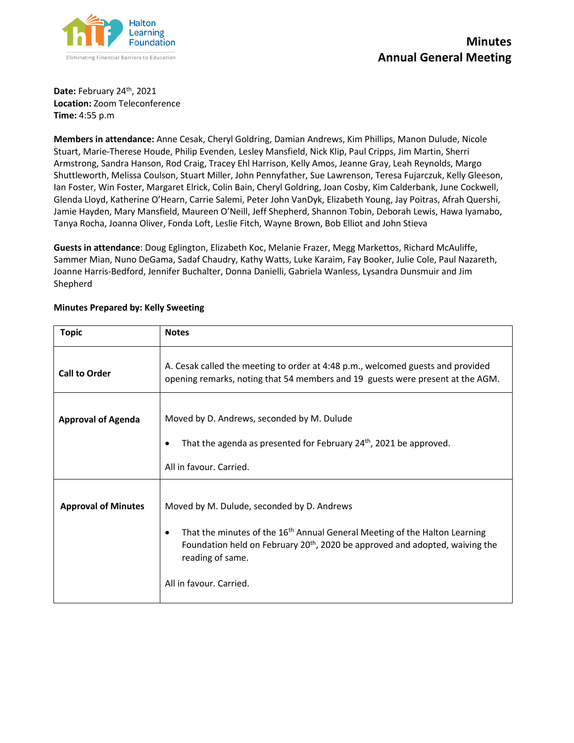

**Date:** February 24th, 2021 **Location:** Zoom Teleconference **Time:** 4:55 p.m

**Members in attendance:** Anne Cesak, Cheryl Goldring, Damian Andrews, Kim Phillips, Manon Dulude, Nicole Stuart, Marie-Therese Houde, Philip Evenden, Lesley Mansfield, Nick Klip, Paul Cripps, Jim Martin, Sherri Armstrong, Sandra Hanson, Rod Craig, Tracey Ehl Harrison, Kelly Amos, Jeanne Gray, Leah Reynolds, Margo Shuttleworth, Melissa Coulson, Stuart Miller, John Pennyfather, Sue Lawrenson, Teresa Fujarczuk, Kelly Gleeson, Ian Foster, Win Foster, Margaret Elrick, Colin Bain, Cheryl Goldring, Joan Cosby, Kim Calderbank, June Cockwell, Glenda Lloyd, Katherine O'Hearn, Carrie Salemi, Peter John VanDyk, Elizabeth Young, Jay Poitras, Afrah Quershi, Jamie Hayden, Mary Mansfield, Maureen O'Neill, Jeff Shepherd, Shannon Tobin, Deborah Lewis, Hawa Iyamabo, Tanya Rocha, Joanna Oliver, Fonda Loft, Leslie Fitch, Wayne Brown, Bob Elliot and John Stieva

**Guests in attendance**: Doug Eglington, Elizabeth Koc, Melanie Frazer, Megg Markettos, Richard McAuliffe, Sammer Mian, Nuno DeGama, Sadaf Chaudry, Kathy Watts, Luke Karaim, Fay Booker, Julie Cole, Paul Nazareth, Joanne Harris-Bedford, Jennifer Buchalter, Donna Danielli, Gabriela Wanless, Lysandra Dunsmuir and Jim Shepherd

| <b>Topic</b>               | <b>Notes</b>                                                                                                                                                                                                                                                                                 |
|----------------------------|----------------------------------------------------------------------------------------------------------------------------------------------------------------------------------------------------------------------------------------------------------------------------------------------|
| <b>Call to Order</b>       | A. Cesak called the meeting to order at 4:48 p.m., welcomed guests and provided<br>opening remarks, noting that 54 members and 19 guests were present at the AGM.                                                                                                                            |
| <b>Approval of Agenda</b>  | Moved by D. Andrews, seconded by M. Dulude<br>That the agenda as presented for February 24 <sup>th</sup> , 2021 be approved.<br>$\bullet$<br>All in favour, Carried.                                                                                                                         |
| <b>Approval of Minutes</b> | Moved by M. Dulude, seconded by D. Andrews<br>That the minutes of the 16 <sup>th</sup> Annual General Meeting of the Halton Learning<br>$\bullet$<br>Foundation held on February 20 <sup>th</sup> , 2020 be approved and adopted, waiving the<br>reading of same.<br>All in favour. Carried. |

## **Minutes Prepared by: Kelly Sweeting**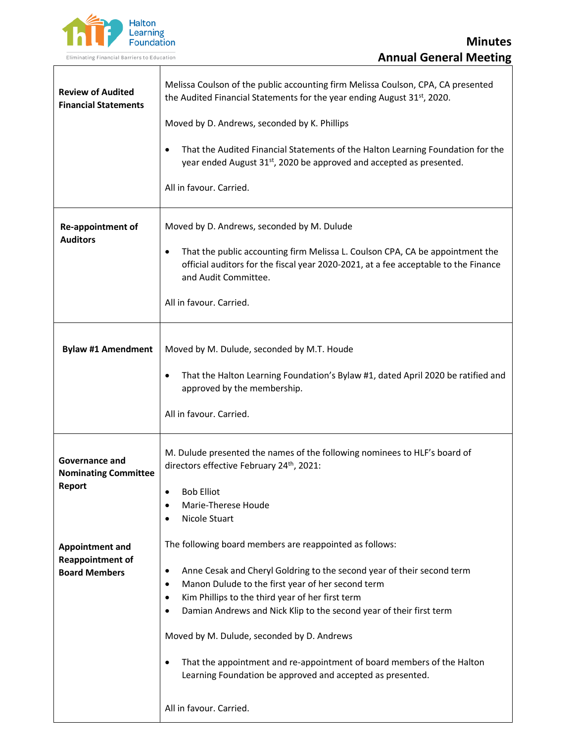

| <b>Review of Audited</b><br><b>Financial Statements</b>                   | Melissa Coulson of the public accounting firm Melissa Coulson, CPA, CA presented<br>the Audited Financial Statements for the year ending August 31 <sup>st</sup> , 2020.<br>Moved by D. Andrews, seconded by K. Phillips<br>That the Audited Financial Statements of the Halton Learning Foundation for the<br>٠<br>year ended August 31 <sup>st</sup> , 2020 be approved and accepted as presented.<br>All in favour. Carried.                                                                                                                             |
|---------------------------------------------------------------------------|-------------------------------------------------------------------------------------------------------------------------------------------------------------------------------------------------------------------------------------------------------------------------------------------------------------------------------------------------------------------------------------------------------------------------------------------------------------------------------------------------------------------------------------------------------------|
| Re-appointment of<br><b>Auditors</b>                                      | Moved by D. Andrews, seconded by M. Dulude<br>That the public accounting firm Melissa L. Coulson CPA, CA be appointment the<br>٠<br>official auditors for the fiscal year 2020-2021, at a fee acceptable to the Finance<br>and Audit Committee.<br>All in favour. Carried.                                                                                                                                                                                                                                                                                  |
| <b>Bylaw #1 Amendment</b>                                                 | Moved by M. Dulude, seconded by M.T. Houde<br>That the Halton Learning Foundation's Bylaw #1, dated April 2020 be ratified and<br>٠<br>approved by the membership.<br>All in favour. Carried.                                                                                                                                                                                                                                                                                                                                                               |
| <b>Governance and</b><br><b>Nominating Committee</b><br>Report            | M. Dulude presented the names of the following nominees to HLF's board of<br>directors effective February 24th, 2021:<br><b>Bob Elliot</b><br>Marie-Therese Houde<br>Nicole Stuart                                                                                                                                                                                                                                                                                                                                                                          |
| <b>Appointment and</b><br><b>Reappointment of</b><br><b>Board Members</b> | The following board members are reappointed as follows:<br>Anne Cesak and Cheryl Goldring to the second year of their second term<br>٠<br>Manon Dulude to the first year of her second term<br>٠<br>Kim Phillips to the third year of her first term<br>٠<br>Damian Andrews and Nick Klip to the second year of their first term<br>٠<br>Moved by M. Dulude, seconded by D. Andrews<br>That the appointment and re-appointment of board members of the Halton<br>٠<br>Learning Foundation be approved and accepted as presented.<br>All in favour. Carried. |